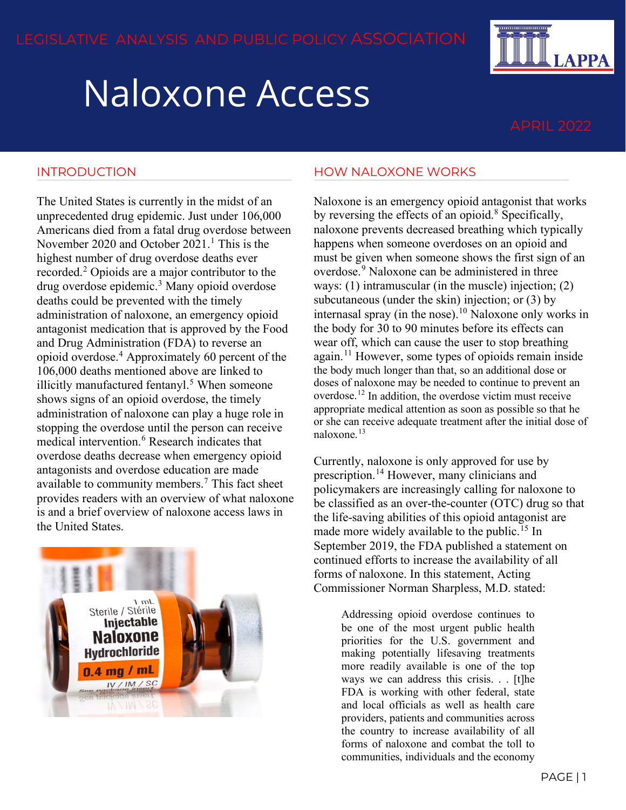# Naloxone Access

**LAPPA** 

### INTRODUCTION

The United States is currently in the midst of an unprecedented drug epidemic. Just under 106,000 Americans died from a fatal drug overdose between November 2020 and October 202[1](#page-1-0).<sup>1</sup> This is the highest number of drug overdose deaths ever recorded.[2](#page-1-1) Opioids are a major contributor to the drug overdose epidemic.[3](#page-1-2) Many opioid overdose deaths could be prevented with the timely administration of naloxone, an emergency opioid antagonist medication that is approved by the Food and Drug Administration (FDA) to reverse an opioid overdose.[4](#page-1-3) Approximately 60 percent of the 106,000 deaths mentioned above are linked to illicitly manufactured fentanyl.<sup>[5](#page-1-4)</sup> When someone shows signs of an opioid overdose, the timely administration of naloxone can play a huge role in stopping the overdose until the person can receive medical intervention.[6](#page-1-5) Research indicates that overdose deaths decrease when emergency opioid antagonists and overdose education are made available to community members.[7](#page-2-0) This fact sheet provides readers with an overview of what naloxone is and a brief overview of naloxone access laws in the United States.



#### HOW NALOXONE WORKS

Naloxone is an emergency opioid antagonist that works by reversing the effects of an opioid. $8$  Specifically, naloxone prevents decreased breathing which typically happens when someone overdoses on an opioid and must be given when someone shows the first sign of an overdose.[9](#page-2-2) Naloxone can be administered in three ways: (1) intramuscular (in the muscle) injection; (2) subcutaneous (under the skin) injection; or (3) by internasal spray (in the nose).<sup>[10](#page-2-3)</sup> Naloxone only works in the body for 30 to 90 minutes before its effects can wear off, which can cause the user to stop breathing again.[11](#page-2-4) However, some types of opioids remain inside the body much longer than that, so an additional dose or doses of naloxone may be needed to continue to prevent an overdose.[12](#page-2-5) In addition, the overdose victim must receive appropriate medical attention as soon as possible so that he or she can receive adequate treatment after the initial dose of naloxone.<sup>[13](#page-2-6)</sup>

Currently, naloxone is only approved for use by prescription.<sup>[14](#page-2-7)</sup> However, many clinicians and policymakers are increasingly calling for naloxone to be classified as an over-the-counter (OTC) drug so that the life-saving abilities of this opioid antagonist are made more widely available to the public.<sup>[15](#page-2-8)</sup> In September 2019, the FDA published a statement on continued efforts to increase the availability of all forms of naloxone. In this statement, Acting Commissioner Norman Sharpless, M.D. stated:

> Addressing opioid overdose continues to be one of the most urgent public health priorities for the U.S. government and making potentially lifesaving treatments more readily available is one of the top ways we can address this crisis. . . [t]he FDA is working with other federal, state and local officials as well as health care providers, patients and communities across the country to increase availability of all forms of naloxone and combat the toll to communities, individuals and the economy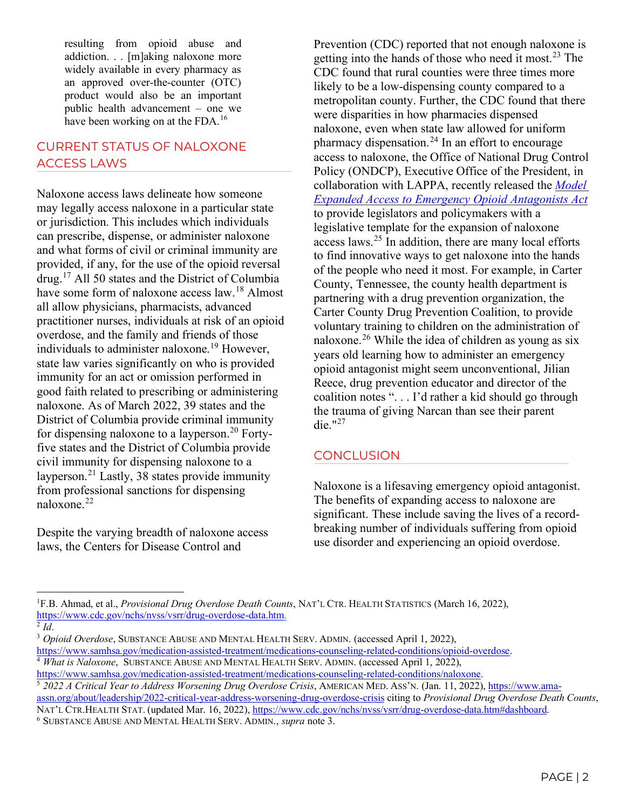resulting from opioid abuse and addiction. . . [m]aking naloxone more widely available in every pharmacy as an approved over-the-counter (OTC) product would also be an important public health advancement – one we have been working on at the FDA.<sup>[16](#page-2-9)</sup>

## CURRENT STATUS OF NALOXONE ACCESS LAWS

Naloxone access laws delineate how someone may legally access naloxone in a particular state or jurisdiction. This includes which individuals can prescribe, dispense, or administer naloxone and what forms of civil or criminal immunity are provided, if any, for the use of the opioid reversal drug.[17](#page-2-10) All 50 states and the District of Columbia have some form of naloxone access law.<sup>[18](#page-2-11)</sup> Almost all allow physicians, pharmacists, advanced practitioner nurses, individuals at risk of an opioid overdose, and the family and friends of those individuals to administer naloxone.<sup>[19](#page-2-12)</sup> However, state law varies significantly on who is provided immunity for an act or omission performed in good faith related to prescribing or administering naloxone. As of March 2022, 39 states and the District of Columbia provide criminal immunity for dispensing naloxone to a layperson.<sup>[20](#page-2-13)</sup> Fortyfive states and the District of Columbia provide civil immunity for dispensing naloxone to a layperson.[21](#page-2-14) Lastly, 38 states provide immunity from professional sanctions for dispensing naloxone.[22](#page-2-15)

Despite the varying breadth of naloxone access laws, the Centers for Disease Control and

Prevention (CDC) reported that not enough naloxone is getting into the hands of those who need it most.<sup>[23](#page-2-16)</sup> The CDC found that rural counties were three times more likely to be a low-dispensing county compared to a metropolitan county. Further, the CDC found that there were disparities in how pharmacies dispensed naloxone, even when state law allowed for uniform pharmacy dispensation.<sup>[24](#page-2-17)</sup> In an effort to encourage access to naloxone, the Office of National Drug Control Policy (ONDCP), Executive Office of the President, in collaboration with LAPPA, recently released the *[Model](https://legislativeanalysis.org/model-expanded-access-to-emergency-opioid-antagonists-act/)  [Expanded Access to Emergency Opioid Antagonists Act](https://legislativeanalysis.org/model-expanded-access-to-emergency-opioid-antagonists-act/)* to provide legislators and policymakers with a legislative template for the expansion of naloxone access laws. $2<sup>5</sup>$  In addition, there are many local efforts to find innovative ways to get naloxone into the hands of the people who need it most. For example, in Carter County, Tennessee, the county health department is partnering with a drug prevention organization, the Carter County Drug Prevention Coalition, to provide voluntary training to children on the administration of naloxone.<sup>[26](#page-2-19)</sup> While the idea of children as young as six years old learning how to administer an emergency opioid antagonist might seem unconventional, Jilian Reece, drug prevention educator and director of the coalition notes ". . . I'd rather a kid should go through the trauma of giving Narcan than see their parent die." $^{127}$  $^{127}$  $^{127}$ 

## **CONCLUSION**

Naloxone is a lifesaving emergency opioid antagonist. The benefits of expanding access to naloxone are significant. These include saving the lives of a recordbreaking number of individuals suffering from opioid use disorder and experiencing an opioid overdose.

<span id="page-1-0"></span><sup>1</sup> F.B. Ahmad, et al., *Provisional Drug Overdose Death Counts*, NAT'L CTR. HEALTH STATISTICS (March 16, 2022), [https://www.cdc.gov/nchs/nvss/vsrr/drug-overdose-data.htm.](https://www.cdc.gov/nchs/nvss/vsrr/drug-overdose-data.htm)

<span id="page-1-2"></span><span id="page-1-1"></span><sup>2</sup> *Id*. 3 *Opioid Overdose*, SUBSTANCE ABUSE AND MENTAL HEALTH SERV. ADMIN. (accessed April 1, 2022), [https://www.samhsa.gov/medication-assisted-treatment/medications-counseling-related-conditions/opioid-overdose.](https://www.samhsa.gov/medication-assisted-treatment/medications-counseling-related-conditions/opioid-overdose)

<span id="page-1-3"></span><sup>4</sup> *What is Naloxone*, SUBSTANCE ABUSE AND MENTAL HEALTH SERV. ADMIN. (accessed April 1, 2022), [https://www.samhsa.gov/medication-assisted-treatment/medications-counseling-related-conditions/naloxone.](https://www.samhsa.gov/medication-assisted-treatment/medications-counseling-related-conditions/naloxone)

<span id="page-1-5"></span><span id="page-1-4"></span><sup>5</sup> *2022 A Critical Year to Address Worsening Drug Overdose Crisis*, AMERICAN MED. ASS'N. (Jan. 11, 2022)[, https://www.ama](https://www.ama-assn.org/about/leadership/2022-critical-year-address-worsening-drug-overdose-crisis)[assn.org/about/leadership/2022-critical-year-address-worsening-drug-overdose-crisis](https://www.ama-assn.org/about/leadership/2022-critical-year-address-worsening-drug-overdose-crisis) citing to *Provisional Drug Overdose Death Counts*, NAT'L CTR.HEALTH STAT. (updated Mar. 16, 2022), [https://www.cdc.gov/nchs/nvss/vsrr/drug-overdose-data.htm#dashboard.](https://www.cdc.gov/nchs/nvss/vsrr/drug-overdose-data.htm#dashboard) 6 SUBSTANCE ABUSE AND MENTAL HEALTH SERV. ADMIN., *supra* note 3.